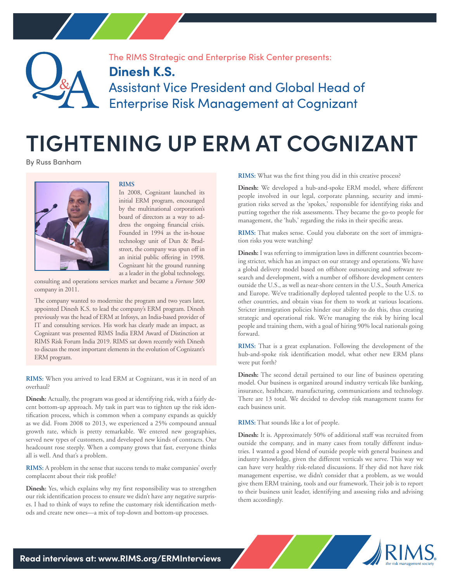

The RIMS Strategic and Enterprise Risk Center presents:

## **Dinesh K.S.**

Assistant Vice President and Global Head of Enterprise Risk Management at Cognizant

## **TIGHTENING UP ERM AT COGNIZANT**

By Russ Banham



## **RIMS**

In 2008, Cognizant launched its initial ERM program, encouraged by the multinational corporation's board of directors as a way to address the ongoing financial crisis. Founded in 1994 as the in-house technology unit of Dun & Bradstreet, the company was spun off in an initial public offering in 1998. Cognizant hit the ground running as a leader in the global technology,

consulting and operations services market and became a *Fortune 500* company in 2011.

The company wanted to modernize the program and two years later, appointed Dinesh K.S. to lead the company's ERM program. Dinesh previously was the head of ERM at Infosys, an India-based provider of IT and consulting services. His work has clearly made an impact, as Cognizant was presented RIMS India ERM Award of Distinction at RIMS Risk Forum India 2019. RIMS sat down recently with Dinesh to discuss the most important elements in the evolution of Cognizant's ERM program.

**RIMS:** When you arrived to lead ERM at Cognizant, was it in need of an overhaul?

**Dinesh:** Actually, the program was good at identifying risk, with a fairly decent bottom-up approach. My task in part was to tighten up the risk identification process, which is common when a company expands as quickly as we did. From 2008 to 2013, we experienced a 25% compound annual growth rate, which is pretty remarkable. We entered new geographies, served new types of customers, and developed new kinds of contracts. Our headcount rose steeply. When a company grows that fast, everyone thinks all is well. And that's a problem.

**RIMS:** A problem in the sense that success tends to make companies' overly complacent about their risk profile?

**Dinesh:** Yes, which explains why my first responsibility was to strengthen our risk identification process to ensure we didn't have any negative surprises. I had to think of ways to refine the customary risk identification methods and create new ones—a mix of top-down and bottom-up processes.

**RIMS:** What was the first thing you did in this creative process?

**Dinesh:** We developed a hub-and-spoke ERM model, where different people involved in our legal, corporate planning, security and immigration risks served as the 'spokes,' responsible for identifying risks and putting together the risk assessments. They became the go-to people for management, the 'hub,' regarding the risks in their specific areas.

**RIMS:** That makes sense. Could you elaborate on the sort of immigration risks you were watching?

**Dinesh:** I was referring to immigration laws in different countries becoming stricter, which has an impact on our strategy and operations. We have a global delivery model based on offshore outsourcing and software research and development, with a number of offshore development centers outside the U.S., as well as near-shore centers in the U.S., South America and Europe. We've traditionally deployed talented people to the U.S. to other countries, and obtain visas for them to work at various locations. Stricter immigration policies hinder our ability to do this, thus creating strategic and operational risk. We're managing the risk by hiring local people and training them, with a goal of hiring 90% local nationals going forward.

**RIMS:** That is a great explanation. Following the development of the hub-and-spoke risk identification model, what other new ERM plans were put forth?

**Dinesh:** The second detail pertained to our line of business operating model. Our business is organized around industry verticals like banking, insurance, healthcare, manufacturing, communications and technology. There are 13 total. We decided to develop risk management teams for each business unit.

**RIMS:** That sounds like a lot of people.

**Dinesh:** It is. Approximately 50% of additional staff was recruited from outside the company, and in many cases from totally different industries. I wanted a good blend of outside people with general business and industry knowledge, given the different verticals we serve. This way we can have very healthy risk-related discussions. If they did not have risk management expertise, we didn't consider that a problem, as we would give them ERM training, tools and our framework. Their job is to report to their business unit leader, identifying and assessing risks and advising them accordingly.